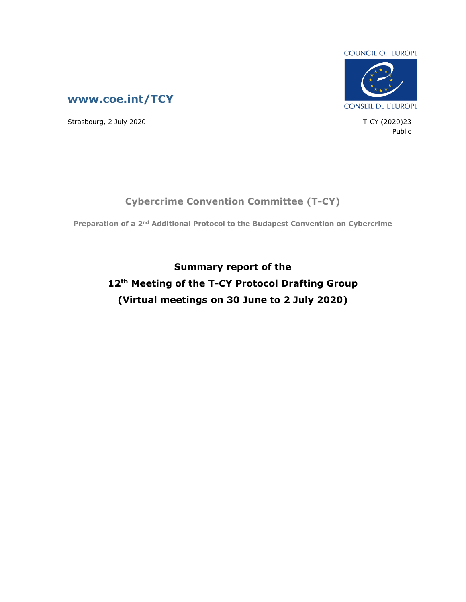



Strasbourg, 2 July 2020 23

Public

## **Cybercrime Convention Committee (T-CY)**

**Preparation of a 2nd Additional Protocol to the Budapest Convention on Cybercrime**

**Summary report of the 12th Meeting of the T-CY Protocol Drafting Group (Virtual meetings on 30 June to 2 July 2020)**